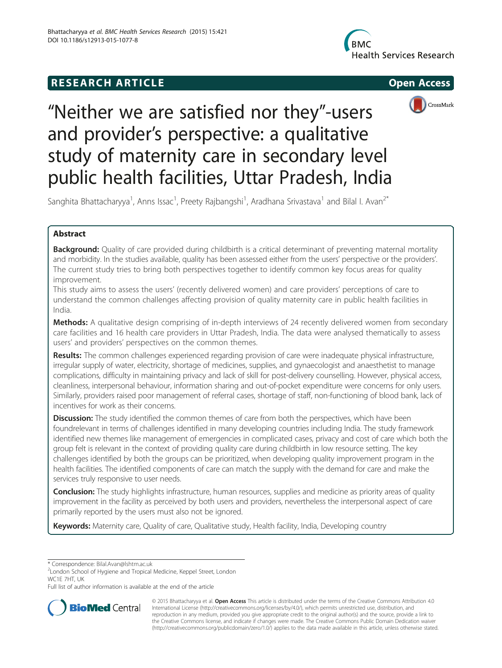## **RESEARCH ARTICLE CONSUMING THE OPEN ACCESS**







# "Neither we are satisfied nor they"-users and provider's perspective: a qualitative study of maternity care in secondary level public health facilities, Uttar Pradesh, India

Sanghita Bhattacharyya<sup>1</sup>, Anns Issac<sup>1</sup>, Preety Rajbangshi<sup>1</sup>, Aradhana Srivastava<sup>1</sup> and Bilal I. Avan<sup>2\*</sup>

### Abstract

**Background:** Quality of care provided during childbirth is a critical determinant of preventing maternal mortality and morbidity. In the studies available, quality has been assessed either from the users' perspective or the providers'. The current study tries to bring both perspectives together to identify common key focus areas for quality improvement.

This study aims to assess the users' (recently delivered women) and care providers' perceptions of care to understand the common challenges affecting provision of quality maternity care in public health facilities in India.

Methods: A qualitative design comprising of in-depth interviews of 24 recently delivered women from secondary care facilities and 16 health care providers in Uttar Pradesh, India. The data were analysed thematically to assess users' and providers' perspectives on the common themes.

Results: The common challenges experienced regarding provision of care were inadequate physical infrastructure, irregular supply of water, electricity, shortage of medicines, supplies, and gynaecologist and anaesthetist to manage complications, difficulty in maintaining privacy and lack of skill for post-delivery counselling. However, physical access, cleanliness, interpersonal behaviour, information sharing and out-of-pocket expenditure were concerns for only users. Similarly, providers raised poor management of referral cases, shortage of staff, non-functioning of blood bank, lack of incentives for work as their concerns.

**Discussion:** The study identified the common themes of care from both the perspectives, which have been foundrelevant in terms of challenges identified in many developing countries including India. The study framework identified new themes like management of emergencies in complicated cases, privacy and cost of care which both the group felt is relevant in the context of providing quality care during childbirth in low resource setting. The key challenges identified by both the groups can be prioritized, when developing quality improvement program in the health facilities. The identified components of care can match the supply with the demand for care and make the services truly responsive to user needs.

**Conclusion:** The study highlights infrastructure, human resources, supplies and medicine as priority areas of quality improvement in the facility as perceived by both users and providers, nevertheless the interpersonal aspect of care primarily reported by the users must also not be ignored.

Keywords: Maternity care, Quality of care, Qualitative study, Health facility, India, Developing country

Full list of author information is available at the end of the article



© 2015 Bhattacharyya et al. Open Access This article is distributed under the terms of the Creative Commons Attribution 4.0 International License [\(http://creativecommons.org/licenses/by/4.0/](http://creativecommons.org/licenses/by/4.0/)), which permits unrestricted use, distribution, and reproduction in any medium, provided you give appropriate credit to the original author(s) and the source, provide a link to the Creative Commons license, and indicate if changes were made. The Creative Commons Public Domain Dedication waiver [\(http://creativecommons.org/publicdomain/zero/1.0/](http://creativecommons.org/publicdomain/zero/1.0/)) applies to the data made available in this article, unless otherwise stated.

<sup>\*</sup> Correspondence: [Bilal.Avan@lshtm.ac.uk](mailto:Bilal.Avan@lshtm.ac.uk) <sup>2</sup>

<sup>&</sup>lt;sup>2</sup> London School of Hygiene and Tropical Medicine, Keppel Street, London WC1E 7HT, UK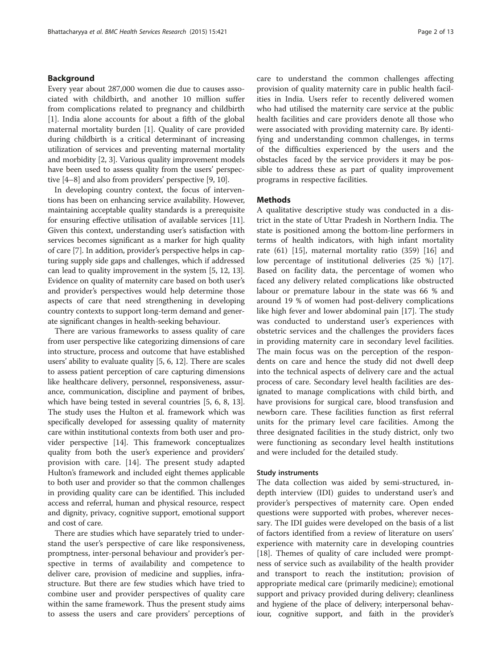#### Background

Every year about 287,000 women die due to causes associated with childbirth, and another 10 million suffer from complications related to pregnancy and childbirth [[1\]](#page-11-0). India alone accounts for about a fifth of the global maternal mortality burden [\[1\]](#page-11-0). Quality of care provided during childbirth is a critical determinant of increasing utilization of services and preventing maternal mortality and morbidity [\[2](#page-11-0), [3](#page-11-0)]. Various quality improvement models have been used to assess quality from the users' perspective [[4](#page-11-0)–[8](#page-11-0)] and also from providers' perspective [\[9, 10](#page-11-0)].

In developing country context, the focus of interventions has been on enhancing service availability. However, maintaining acceptable quality standards is a prerequisite for ensuring effective utilisation of available services [[11](#page-11-0)]. Given this context, understanding user's satisfaction with services becomes significant as a marker for high quality of care [\[7](#page-11-0)]. In addition, provider's perspective helps in capturing supply side gaps and challenges, which if addressed can lead to quality improvement in the system [\[5, 12, 13](#page-11-0)]. Evidence on quality of maternity care based on both user's and provider's perspectives would help determine those aspects of care that need strengthening in developing country contexts to support long-term demand and generate significant changes in health-seeking behaviour.

There are various frameworks to assess quality of care from user perspective like categorizing dimensions of care into structure, process and outcome that have established users' ability to evaluate quality [\[5](#page-11-0), [6](#page-11-0), [12\]](#page-11-0). There are scales to assess patient perception of care capturing dimensions like healthcare delivery, personnel, responsiveness, assurance, communication, discipline and payment of bribes, which have being tested in several countries [\[5](#page-11-0), [6, 8](#page-11-0), [13](#page-11-0)]. The study uses the Hulton et al. framework which was specifically developed for assessing quality of maternity care within institutional contexts from both user and provider perspective [\[14\]](#page-11-0). This framework conceptualizes quality from both the user's experience and providers' provision with care. [[14](#page-11-0)]. The present study adapted Hulton's framework and included eight themes applicable to both user and provider so that the common challenges in providing quality care can be identified. This included access and referral, human and physical resource, respect and dignity, privacy, cognitive support, emotional support and cost of care.

There are studies which have separately tried to understand the user's perspective of care like responsiveness, promptness, inter-personal behaviour and provider's perspective in terms of availability and competence to deliver care, provision of medicine and supplies, infrastructure. But there are few studies which have tried to combine user and provider perspectives of quality care within the same framework. Thus the present study aims to assess the users and care providers' perceptions of care to understand the common challenges affecting provision of quality maternity care in public health facilities in India. Users refer to recently delivered women who had utilised the maternity care service at the public health facilities and care providers denote all those who were associated with providing maternity care. By identifying and understanding common challenges, in terms of the difficulties experienced by the users and the obstacles faced by the service providers it may be possible to address these as part of quality improvement programs in respective facilities.

#### Methods

A qualitative descriptive study was conducted in a district in the state of Uttar Pradesh in Northern India. The state is positioned among the bottom-line performers in terms of health indicators, with high infant mortality rate (61) [\[15](#page-11-0)], maternal mortality ratio (359) [[16](#page-11-0)] and low percentage of institutional deliveries (25 %) [\[17](#page-11-0)]. Based on facility data, the percentage of women who faced any delivery related complications like obstructed labour or premature labour in the state was 66 % and around 19 % of women had post-delivery complications like high fever and lower abdominal pain [\[17](#page-11-0)]. The study was conducted to understand user's experiences with obstetric services and the challenges the providers faces in providing maternity care in secondary level facilities. The main focus was on the perception of the respondents on care and hence the study did not dwell deep into the technical aspects of delivery care and the actual process of care. Secondary level health facilities are designated to manage complications with child birth, and have provisions for surgical care, blood transfusion and newborn care. These facilities function as first referral units for the primary level care facilities. Among the three designated facilities in the study district, only two were functioning as secondary level health institutions and were included for the detailed study.

#### Study instruments

The data collection was aided by semi-structured, indepth interview (IDI) guides to understand user's and provider's perspectives of maternity care. Open ended questions were supported with probes, wherever necessary. The IDI guides were developed on the basis of a list of factors identified from a review of literature on users' experience with maternity care in developing countries [[18\]](#page-11-0). Themes of quality of care included were promptness of service such as availability of the health provider and transport to reach the institution; provision of appropriate medical care (primarily medicine); emotional support and privacy provided during delivery; cleanliness and hygiene of the place of delivery; interpersonal behaviour, cognitive support, and faith in the provider's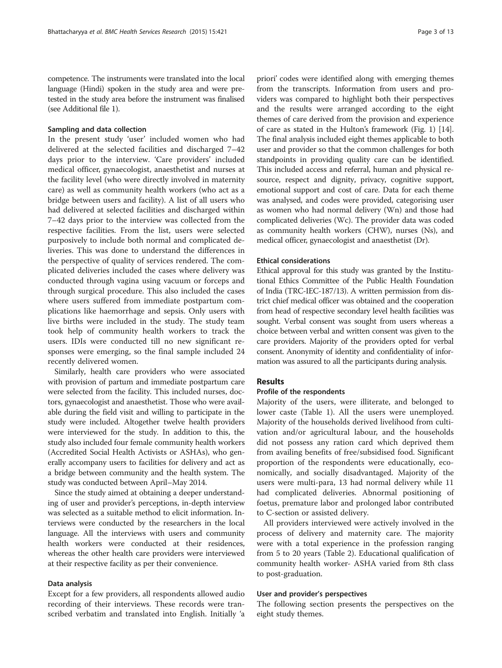competence. The instruments were translated into the local language (Hindi) spoken in the study area and were pretested in the study area before the instrument was finalised (see Additional file [1](#page-11-0)).

#### Sampling and data collection

In the present study 'user' included women who had delivered at the selected facilities and discharged 7–42 days prior to the interview. 'Care providers' included medical officer, gynaecologist, anaesthetist and nurses at the facility level (who were directly involved in maternity care) as well as community health workers (who act as a bridge between users and facility). A list of all users who had delivered at selected facilities and discharged within 7–42 days prior to the interview was collected from the respective facilities. From the list, users were selected purposively to include both normal and complicated deliveries. This was done to understand the differences in the perspective of quality of services rendered. The complicated deliveries included the cases where delivery was conducted through vagina using vacuum or forceps and through surgical procedure. This also included the cases where users suffered from immediate postpartum complications like haemorrhage and sepsis. Only users with live births were included in the study. The study team took help of community health workers to track the users. IDIs were conducted till no new significant responses were emerging, so the final sample included 24 recently delivered women.

Similarly, health care providers who were associated with provision of partum and immediate postpartum care were selected from the facility. This included nurses, doctors, gynaecologist and anaesthetist. Those who were available during the field visit and willing to participate in the study were included. Altogether twelve health providers were interviewed for the study. In addition to this, the study also included four female community health workers (Accredited Social Health Activists or ASHAs), who generally accompany users to facilities for delivery and act as a bridge between community and the health system. The study was conducted between April–May 2014.

Since the study aimed at obtaining a deeper understanding of user and provider's perceptions, in-depth interview was selected as a suitable method to elicit information. Interviews were conducted by the researchers in the local language. All the interviews with users and community health workers were conducted at their residences, whereas the other health care providers were interviewed at their respective facility as per their convenience.

#### Data analysis

Except for a few providers, all respondents allowed audio recording of their interviews. These records were transcribed verbatim and translated into English. Initially 'a

priori' codes were identified along with emerging themes from the transcripts. Information from users and providers was compared to highlight both their perspectives and the results were arranged according to the eight themes of care derived from the provision and experience of care as stated in the Hulton's framework (Fig. [1\)](#page-3-0) [[14](#page-11-0)]. The final analysis included eight themes applicable to both user and provider so that the common challenges for both standpoints in providing quality care can be identified. This included access and referral, human and physical resource, respect and dignity, privacy, cognitive support, emotional support and cost of care. Data for each theme was analysed, and codes were provided, categorising user as women who had normal delivery (Wn) and those had complicated deliveries (Wc). The provider data was coded as community health workers (CHW), nurses (Ns), and medical officer, gynaecologist and anaesthetist (Dr).

#### Ethical considerations

Ethical approval for this study was granted by the Institutional Ethics Committee of the Public Health Foundation of India (TRC-IEC-187/13). A written permission from district chief medical officer was obtained and the cooperation from head of respective secondary level health facilities was sought. Verbal consent was sought from users whereas a choice between verbal and written consent was given to the care providers. Majority of the providers opted for verbal consent. Anonymity of identity and confidentiality of information was assured to all the participants during analysis.

#### Results

#### Profile of the respondents

Majority of the users, were illiterate, and belonged to lower caste (Table [1\)](#page-4-0). All the users were unemployed. Majority of the households derived livelihood from cultivation and/or agricultural labour, and the households did not possess any ration card which deprived them from availing benefits of free/subsidised food. Significant proportion of the respondents were educationally, economically, and socially disadvantaged. Majority of the users were multi-para, 13 had normal delivery while 11 had complicated deliveries. Abnormal positioning of foetus, premature labor and prolonged labor contributed to C-section or assisted delivery.

All providers interviewed were actively involved in the process of delivery and maternity care. The majority were with a total experience in the profession ranging from 5 to 20 years (Table [2](#page-4-0)). Educational qualification of community health worker- ASHA varied from 8th class to post-graduation.

#### User and provider's perspectives

The following section presents the perspectives on the eight study themes.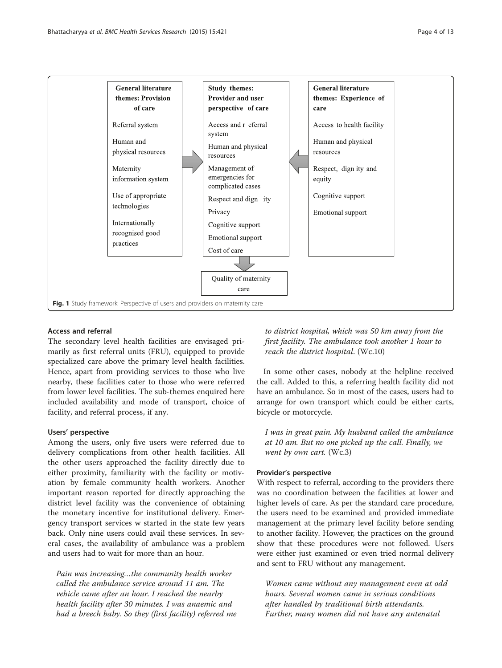<span id="page-3-0"></span>

#### Access and referral

The secondary level health facilities are envisaged primarily as first referral units (FRU), equipped to provide specialized care above the primary level health facilities. Hence, apart from providing services to those who live nearby, these facilities cater to those who were referred from lower level facilities. The sub-themes enquired here included availability and mode of transport, choice of facility, and referral process, if any.

#### Users' perspective

Among the users, only five users were referred due to delivery complications from other health facilities. All the other users approached the facility directly due to either proximity, familiarity with the facility or motivation by female community health workers. Another important reason reported for directly approaching the district level facility was the convenience of obtaining the monetary incentive for institutional delivery. Emergency transport services w started in the state few years back. Only nine users could avail these services. In several cases, the availability of ambulance was a problem and users had to wait for more than an hour.

Pain was increasing…the community health worker called the ambulance service around 11 am. The vehicle came after an hour. I reached the nearby health facility after 30 minutes. I was anaemic and had a breech baby. So they (first facility) referred me

to district hospital, which was 50 km away from the first facility. The ambulance took another 1 hour to reach the district hospital. (Wc.10)

In some other cases, nobody at the helpline received the call. Added to this, a referring health facility did not have an ambulance. So in most of the cases, users had to arrange for own transport which could be either carts, bicycle or motorcycle.

I was in great pain. My husband called the ambulance at 10 am. But no one picked up the call. Finally, we went by own cart. (Wc.3)

#### Provider's perspective

With respect to referral, according to the providers there was no coordination between the facilities at lower and higher levels of care. As per the standard care procedure, the users need to be examined and provided immediate management at the primary level facility before sending to another facility. However, the practices on the ground show that these procedures were not followed. Users were either just examined or even tried normal delivery and sent to FRU without any management.

Women came without any management even at odd hours. Several women came in serious conditions after handled by traditional birth attendants. Further, many women did not have any antenatal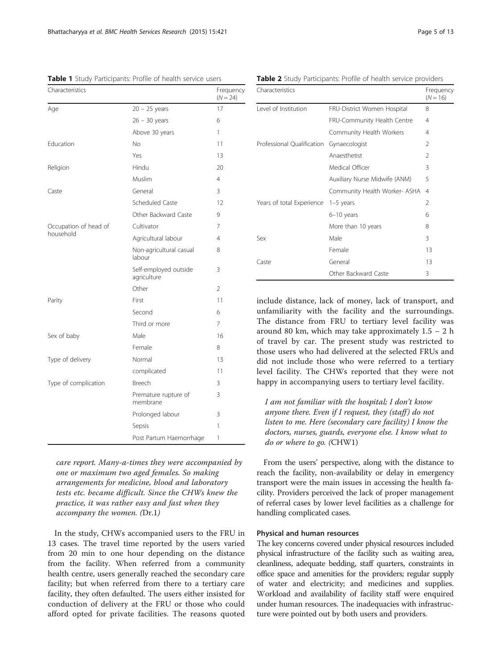care report. Many-a-times they were accompanied by one or maximum two aged females. So making arrangements for medicine, blood and laboratory tests etc. became difficult. Since the CHWs knew the practice, it was rather easy and fast when they accompany the women. (Dr.1)

In the study, CHWs accompanied users to the FRU in 13 cases. The travel time reported by the users varied from 20 min to one hour depending on the distance from the facility. When referred from a community health centre, users generally reached the secondary care facility; but when referred from there to a tertiary care facility, they often defaulted. The users either insisted for conduction of delivery at the FRU or those who could afford opted for private facilities. The reasons quoted include distance, lack of money, lack of transport, and unfamiliarity with the facility and the surroundings. The distance from FRU to tertiary level facility was around 80 km, which may take approximately  $1.5 - 2 h$ of travel by car. The present study was restricted to those users who had delivered at the selected FRUs and did not include those who were referred to a tertiary level facility. The CHWs reported that they were not happy in accompanying users to tertiary level facility.

I am not familiar with the hospital; I don't know anyone there. Even if I request, they (staff) do not listen to me. Here (secondary care facility) I know the doctors, nurses, guards, everyone else. I know what to do or where to go. (CHW1)

From the users' perspective, along with the distance to reach the facility, non-availability or delay in emergency transport were the main issues in accessing the health facility. Providers perceived the lack of proper management of referral cases by lower level facilities as a challenge for handling complicated cases.

#### Physical and human resources

The key concerns covered under physical resources included physical infrastructure of the facility such as waiting area, cleanliness, adequate bedding, staff quarters, constraints in office space and amenities for the providers; regular supply of water and electricity; and medicines and supplies. Workload and availability of facility staff were enquired under human resources. The inadequacies with infrastructure were pointed out by both users and providers.

<span id="page-4-0"></span>Table 1 Study Participants: Profile of health service users

| Characteristics                    |                                      | Frequency<br>$(N = 24)$ |
|------------------------------------|--------------------------------------|-------------------------|
| Age                                | $20 - 25$ years                      | 17                      |
|                                    | $26 - 30$ years                      | 6                       |
|                                    | Above 30 years                       | 1                       |
| Education                          | Nο                                   | 11                      |
|                                    | Yes                                  | 13                      |
| Religion                           | Hindu                                | 20                      |
|                                    | Muslim                               | 4                       |
| Caste                              | General                              | 3                       |
|                                    | Scheduled Caste                      | 12                      |
|                                    | Other Backward Caste                 | 9                       |
| Occupation of head of<br>household | Cultivator                           | 7                       |
|                                    | Agricultural labour                  | 4                       |
|                                    | Non-agricultural casual<br>labour    | 8                       |
|                                    | Self-employed outside<br>agriculture | 3                       |
|                                    | Other                                | $\overline{2}$          |
| Parity                             | First                                | 11                      |
|                                    | Second                               | 6                       |
|                                    | Third or more                        | 7                       |
| Sex of baby                        | Male                                 | 16                      |
|                                    | Female                               | 8                       |
| Type of delivery                   | Normal                               | 13                      |
|                                    | complicated                          | 11                      |
| Type of complication               | Breech                               | 3                       |
|                                    | Premature rupture of<br>membrane     | 3                       |
|                                    | Prolonged labour                     | 3                       |
|                                    | Sepsis                               | 1                       |
|                                    | Post Partum Haemorrhage              | 1                       |

Table 2 Study Participants: Profile of health service providers

| Characteristics            |                               | Frequency<br>$(N = 16)$ |
|----------------------------|-------------------------------|-------------------------|
| Level of Institution       | FRU-District Women Hospital   | 8                       |
|                            | FRU-Community Health Centre   | 4                       |
|                            | Community Health Workers      | 4                       |
| Professional Qualification | Gynaecologist                 | 2                       |
|                            | Anaesthetist                  | $\mathfrak{D}$          |
|                            | Medical Officer               | 3                       |
|                            | Auxiliary Nurse Midwife (ANM) | 5                       |
|                            | Community Health Worker- ASHA | 4                       |
| Years of total Experience  | $1-5$ years                   | 2                       |
|                            | $6-10$ years                  | 6                       |
|                            | More than 10 years            | 8                       |
| Sex                        | Male                          | 3                       |
|                            | Female                        | 13                      |
| Caste                      | General                       | 13                      |
|                            | Other Backward Caste          | 3                       |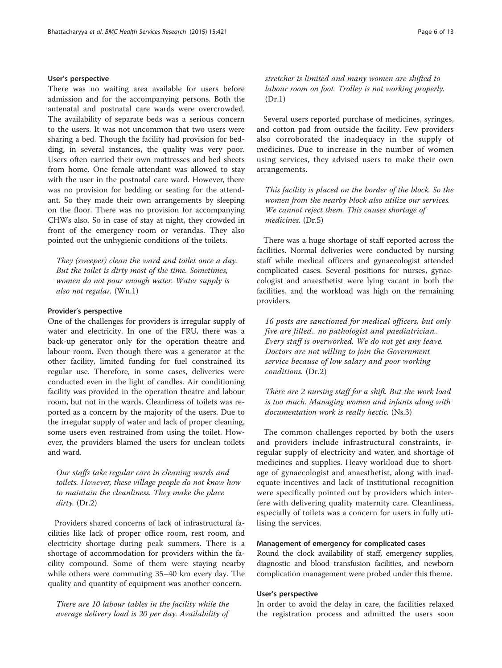#### User's perspective

There was no waiting area available for users before admission and for the accompanying persons. Both the antenatal and postnatal care wards were overcrowded. The availability of separate beds was a serious concern to the users. It was not uncommon that two users were sharing a bed. Though the facility had provision for bedding, in several instances, the quality was very poor. Users often carried their own mattresses and bed sheets from home. One female attendant was allowed to stay with the user in the postnatal care ward. However, there was no provision for bedding or seating for the attendant. So they made their own arrangements by sleeping on the floor. There was no provision for accompanying CHWs also. So in case of stay at night, they crowded in front of the emergency room or verandas. They also pointed out the unhygienic conditions of the toilets.

They (sweeper) clean the ward and toilet once a day. But the toilet is dirty most of the time. Sometimes, women do not pour enough water. Water supply is also not regular. (Wn.1)

#### Provider's perspective

One of the challenges for providers is irregular supply of water and electricity. In one of the FRU, there was a back-up generator only for the operation theatre and labour room. Even though there was a generator at the other facility, limited funding for fuel constrained its regular use. Therefore, in some cases, deliveries were conducted even in the light of candles. Air conditioning facility was provided in the operation theatre and labour room, but not in the wards. Cleanliness of toilets was reported as a concern by the majority of the users. Due to the irregular supply of water and lack of proper cleaning, some users even restrained from using the toilet. However, the providers blamed the users for unclean toilets and ward.

Our staffs take regular care in cleaning wards and toilets. However, these village people do not know how to maintain the cleanliness. They make the place dirty. (Dr.2)

Providers shared concerns of lack of infrastructural facilities like lack of proper office room, rest room, and electricity shortage during peak summers. There is a shortage of accommodation for providers within the facility compound. Some of them were staying nearby while others were commuting 35–40 km every day. The quality and quantity of equipment was another concern.

There are 10 labour tables in the facility while the average delivery load is 20 per day. Availability of stretcher is limited and many women are shifted to labour room on foot. Trolley is not working properly. (Dr.1)

Several users reported purchase of medicines, syringes, and cotton pad from outside the facility. Few providers also corroborated the inadequacy in the supply of medicines. Due to increase in the number of women using services, they advised users to make their own arrangements.

This facility is placed on the border of the block. So the women from the nearby block also utilize our services. We cannot reject them. This causes shortage of medicines. (Dr.5)

There was a huge shortage of staff reported across the facilities. Normal deliveries were conducted by nursing staff while medical officers and gynaecologist attended complicated cases. Several positions for nurses, gynaecologist and anaesthetist were lying vacant in both the facilities, and the workload was high on the remaining providers.

16 posts are sanctioned for medical officers, but only five are filled.. no pathologist and paediatrician.. Every staff is overworked. We do not get any leave. Doctors are not willing to join the Government service because of low salary and poor working conditions. (Dr.2)

There are 2 nursing staff for a shift. But the work load is too much. Managing women and infants along with documentation work is really hectic. (Ns.3)

The common challenges reported by both the users and providers include infrastructural constraints, irregular supply of electricity and water, and shortage of medicines and supplies. Heavy workload due to shortage of gynaecologist and anaesthetist, along with inadequate incentives and lack of institutional recognition were specifically pointed out by providers which interfere with delivering quality maternity care. Cleanliness, especially of toilets was a concern for users in fully utilising the services.

#### Management of emergency for complicated cases

Round the clock availability of staff, emergency supplies, diagnostic and blood transfusion facilities, and newborn complication management were probed under this theme.

#### User's perspective

In order to avoid the delay in care, the facilities relaxed the registration process and admitted the users soon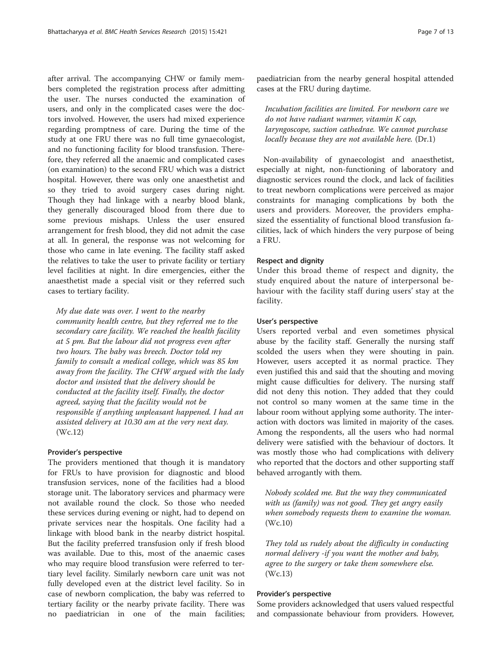after arrival. The accompanying CHW or family members completed the registration process after admitting the user. The nurses conducted the examination of users, and only in the complicated cases were the doctors involved. However, the users had mixed experience regarding promptness of care. During the time of the study at one FRU there was no full time gynaecologist, and no functioning facility for blood transfusion. Therefore, they referred all the anaemic and complicated cases (on examination) to the second FRU which was a district hospital. However, there was only one anaesthetist and so they tried to avoid surgery cases during night. Though they had linkage with a nearby blood blank, they generally discouraged blood from there due to some previous mishaps. Unless the user ensured arrangement for fresh blood, they did not admit the case at all. In general, the response was not welcoming for those who came in late evening. The facility staff asked the relatives to take the user to private facility or tertiary level facilities at night. In dire emergencies, either the anaesthetist made a special visit or they referred such cases to tertiary facility.

My due date was over. I went to the nearby community health centre, but they referred me to the secondary care facility. We reached the health facility at 5 pm. But the labour did not progress even after two hours. The baby was breech. Doctor told my family to consult a medical college, which was 85 km away from the facility. The CHW argued with the lady doctor and insisted that the delivery should be conducted at the facility itself. Finally, the doctor agreed, saying that the facility would not be responsible if anything unpleasant happened. I had an assisted delivery at 10.30 am at the very next day. (Wc.12)

#### Provider's perspective

The providers mentioned that though it is mandatory for FRUs to have provision for diagnostic and blood transfusion services, none of the facilities had a blood storage unit. The laboratory services and pharmacy were not available round the clock. So those who needed these services during evening or night, had to depend on private services near the hospitals. One facility had a linkage with blood bank in the nearby district hospital. But the facility preferred transfusion only if fresh blood was available. Due to this, most of the anaemic cases who may require blood transfusion were referred to tertiary level facility. Similarly newborn care unit was not fully developed even at the district level facility. So in case of newborn complication, the baby was referred to tertiary facility or the nearby private facility. There was no paediatrician in one of the main facilities; paediatrician from the nearby general hospital attended cases at the FRU during daytime.

Incubation facilities are limited. For newborn care we do not have radiant warmer, vitamin K cap, laryngoscope, suction cathedrae. We cannot purchase locally because they are not available here. (Dr.1)

Non-availability of gynaecologist and anaesthetist, especially at night, non-functioning of laboratory and diagnostic services round the clock, and lack of facilities to treat newborn complications were perceived as major constraints for managing complications by both the users and providers. Moreover, the providers emphasized the essentiality of functional blood transfusion facilities, lack of which hinders the very purpose of being a FRU.

#### Respect and dignity

Under this broad theme of respect and dignity, the study enquired about the nature of interpersonal behaviour with the facility staff during users' stay at the facility.

#### User's perspective

Users reported verbal and even sometimes physical abuse by the facility staff. Generally the nursing staff scolded the users when they were shouting in pain. However, users accepted it as normal practice. They even justified this and said that the shouting and moving might cause difficulties for delivery. The nursing staff did not deny this notion. They added that they could not control so many women at the same time in the labour room without applying some authority. The interaction with doctors was limited in majority of the cases. Among the respondents, all the users who had normal delivery were satisfied with the behaviour of doctors. It was mostly those who had complications with delivery who reported that the doctors and other supporting staff behaved arrogantly with them.

Nobody scolded me. But the way they communicated with us (family) was not good. They get angry easily when somebody requests them to examine the woman. (Wc.10)

They told us rudely about the difficulty in conducting normal delivery -if you want the mother and baby, agree to the surgery or take them somewhere else. (Wc.13)

#### Provider's perspective

Some providers acknowledged that users valued respectful and compassionate behaviour from providers. However,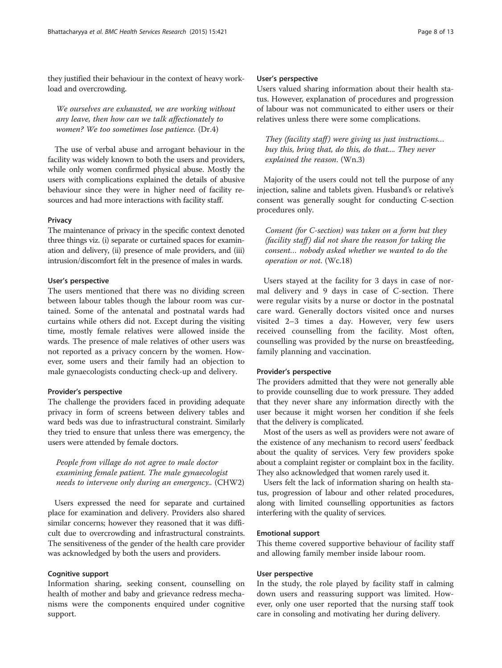they justified their behaviour in the context of heavy workload and overcrowding.

We ourselves are exhausted, we are working without any leave, then how can we talk affectionately to women? We too sometimes lose patience. (Dr.4)

The use of verbal abuse and arrogant behaviour in the facility was widely known to both the users and providers, while only women confirmed physical abuse. Mostly the users with complications explained the details of abusive behaviour since they were in higher need of facility resources and had more interactions with facility staff.

#### Privacy

The maintenance of privacy in the specific context denoted three things viz. (i) separate or curtained spaces for examination and delivery, (ii) presence of male providers, and (iii) intrusion/discomfort felt in the presence of males in wards.

#### User's perspective

The users mentioned that there was no dividing screen between labour tables though the labour room was curtained. Some of the antenatal and postnatal wards had curtains while others did not. Except during the visiting time, mostly female relatives were allowed inside the wards. The presence of male relatives of other users was not reported as a privacy concern by the women. However, some users and their family had an objection to male gynaecologists conducting check-up and delivery.

#### Provider's perspective

The challenge the providers faced in providing adequate privacy in form of screens between delivery tables and ward beds was due to infrastructural constraint. Similarly they tried to ensure that unless there was emergency, the users were attended by female doctors.

People from village do not agree to male doctor examining female patient. The male gynaecologist needs to intervene only during an emergency.. (CHW2)

Users expressed the need for separate and curtained place for examination and delivery. Providers also shared similar concerns; however they reasoned that it was difficult due to overcrowding and infrastructural constraints. The sensitiveness of the gender of the health care provider was acknowledged by both the users and providers.

#### Cognitive support

Information sharing, seeking consent, counselling on health of mother and baby and grievance redress mechanisms were the components enquired under cognitive support.

#### User's perspective

Users valued sharing information about their health status. However, explanation of procedures and progression of labour was not communicated to either users or their relatives unless there were some complications.

They (facility staff) were giving us just instructions... buy this, bring that, do this, do that.... They never explained the reason. (Wn.3)

Majority of the users could not tell the purpose of any injection, saline and tablets given. Husband's or relative's consent was generally sought for conducting C-section procedures only.

Consent (for C-section) was taken on a form but they (facility staff) did not share the reason for taking the consent… nobody asked whether we wanted to do the operation or not. (Wc.18)

Users stayed at the facility for 3 days in case of normal delivery and 9 days in case of C-section. There were regular visits by a nurse or doctor in the postnatal care ward. Generally doctors visited once and nurses visited 2–3 times a day. However, very few users received counselling from the facility. Most often, counselling was provided by the nurse on breastfeeding, family planning and vaccination.

#### Provider's perspective

The providers admitted that they were not generally able to provide counselling due to work pressure. They added that they never share any information directly with the user because it might worsen her condition if she feels that the delivery is complicated.

Most of the users as well as providers were not aware of the existence of any mechanism to record users' feedback about the quality of services. Very few providers spoke about a complaint register or complaint box in the facility. They also acknowledged that women rarely used it.

Users felt the lack of information sharing on health status, progression of labour and other related procedures, along with limited counselling opportunities as factors interfering with the quality of services.

#### Emotional support

This theme covered supportive behaviour of facility staff and allowing family member inside labour room.

#### User perspective

In the study, the role played by facility staff in calming down users and reassuring support was limited. However, only one user reported that the nursing staff took care in consoling and motivating her during delivery.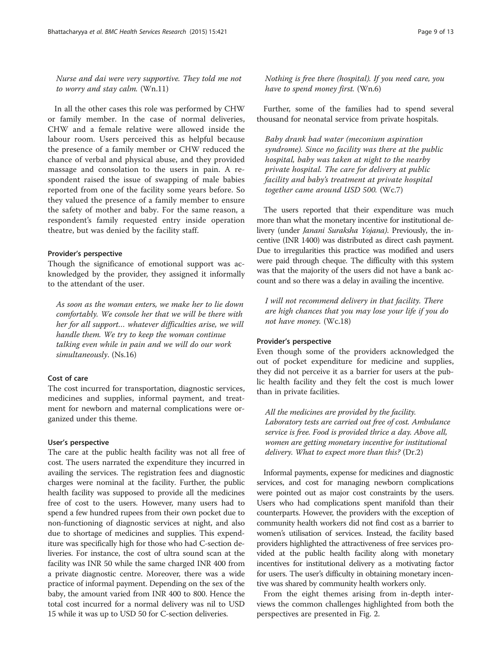Nurse and dai were very supportive. They told me not to worry and stay calm. (Wn.11)

In all the other cases this role was performed by CHW or family member. In the case of normal deliveries, CHW and a female relative were allowed inside the labour room. Users perceived this as helpful because the presence of a family member or CHW reduced the chance of verbal and physical abuse, and they provided massage and consolation to the users in pain. A respondent raised the issue of swapping of male babies reported from one of the facility some years before. So they valued the presence of a family member to ensure the safety of mother and baby. For the same reason, a respondent's family requested entry inside operation theatre, but was denied by the facility staff.

#### Provider's perspective

Though the significance of emotional support was acknowledged by the provider, they assigned it informally to the attendant of the user.

As soon as the woman enters, we make her to lie down comfortably. We console her that we will be there with her for all support… whatever difficulties arise, we will handle them. We try to keep the woman continue talking even while in pain and we will do our work simultaneously. (Ns.16)

#### Cost of care

The cost incurred for transportation, diagnostic services, medicines and supplies, informal payment, and treatment for newborn and maternal complications were organized under this theme.

#### User's perspective

The care at the public health facility was not all free of cost. The users narrated the expenditure they incurred in availing the services. The registration fees and diagnostic charges were nominal at the facility. Further, the public health facility was supposed to provide all the medicines free of cost to the users. However, many users had to spend a few hundred rupees from their own pocket due to non-functioning of diagnostic services at night, and also due to shortage of medicines and supplies. This expenditure was specifically high for those who had C-section deliveries. For instance, the cost of ultra sound scan at the facility was INR 50 while the same charged INR 400 from a private diagnostic centre. Moreover, there was a wide practice of informal payment. Depending on the sex of the baby, the amount varied from INR 400 to 800. Hence the total cost incurred for a normal delivery was nil to USD 15 while it was up to USD 50 for C-section deliveries.

Nothing is free there (hospital). If you need care, you have to spend money first. (Wn.6)

Further, some of the families had to spend several thousand for neonatal service from private hospitals.

Baby drank bad water (meconium aspiration syndrome). Since no facility was there at the public hospital, baby was taken at night to the nearby private hospital. The care for delivery at public facility and baby's treatment at private hospital together came around USD 500. (Wc.7)

The users reported that their expenditure was much more than what the monetary incentive for institutional delivery (under Janani Suraksha Yojana). Previously, the incentive (INR 1400) was distributed as direct cash payment. Due to irregularities this practice was modified and users were paid through cheque. The difficulty with this system was that the majority of the users did not have a bank account and so there was a delay in availing the incentive.

I will not recommend delivery in that facility. There are high chances that you may lose your life if you do not have money. (Wc.18)

#### Provider's perspective

Even though some of the providers acknowledged the out of pocket expenditure for medicine and supplies, they did not perceive it as a barrier for users at the public health facility and they felt the cost is much lower than in private facilities.

All the medicines are provided by the facility. Laboratory tests are carried out free of cost. Ambulance service is free. Food is provided thrice a day. Above all, women are getting monetary incentive for institutional delivery. What to expect more than this? (Dr.2)

Informal payments, expense for medicines and diagnostic services, and cost for managing newborn complications were pointed out as major cost constraints by the users. Users who had complications spent manifold than their counterparts. However, the providers with the exception of community health workers did not find cost as a barrier to women's utilisation of services. Instead, the facility based providers highlighted the attractiveness of free services provided at the public health facility along with monetary incentives for institutional delivery as a motivating factor for users. The user's difficulty in obtaining monetary incentive was shared by community health workers only.

From the eight themes arising from in-depth interviews the common challenges highlighted from both the perspectives are presented in Fig. [2.](#page-9-0)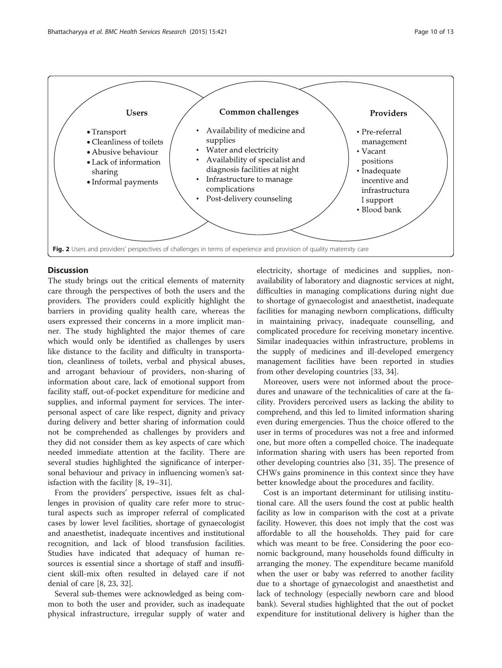

<span id="page-9-0"></span>

#### **Discussion**

The study brings out the critical elements of maternity care through the perspectives of both the users and the providers. The providers could explicitly highlight the barriers in providing quality health care, whereas the users expressed their concerns in a more implicit manner. The study highlighted the major themes of care which would only be identified as challenges by users like distance to the facility and difficulty in transportation, cleanliness of toilets, verbal and physical abuses, and arrogant behaviour of providers, non-sharing of information about care, lack of emotional support from facility staff, out-of-pocket expenditure for medicine and supplies, and informal payment for services. The interpersonal aspect of care like respect, dignity and privacy during delivery and better sharing of information could not be comprehended as challenges by providers and they did not consider them as key aspects of care which needed immediate attention at the facility. There are several studies highlighted the significance of interpersonal behaviour and privacy in influencing women's satisfaction with the facility [[8](#page-11-0), [19](#page-11-0)–[31](#page-12-0)].

From the providers' perspective, issues felt as challenges in provision of quality care refer more to structural aspects such as improper referral of complicated cases by lower level facilities, shortage of gynaecologist and anaesthetist, inadequate incentives and institutional recognition, and lack of blood transfusion facilities. Studies have indicated that adequacy of human resources is essential since a shortage of staff and insufficient skill-mix often resulted in delayed care if not denial of care [\[8, 23,](#page-11-0) [32\]](#page-12-0).

Several sub-themes were acknowledged as being common to both the user and provider, such as inadequate physical infrastructure, irregular supply of water and electricity, shortage of medicines and supplies, nonavailability of laboratory and diagnostic services at night, difficulties in managing complications during night due to shortage of gynaecologist and anaesthetist, inadequate facilities for managing newborn complications, difficulty in maintaining privacy, inadequate counselling, and complicated procedure for receiving monetary incentive. Similar inadequacies within infrastructure, problems in the supply of medicines and ill-developed emergency management facilities have been reported in studies from other developing countries [\[33, 34\]](#page-12-0).

Moreover, users were not informed about the procedures and unaware of the technicalities of care at the facility. Providers perceived users as lacking the ability to comprehend, and this led to limited information sharing even during emergencies. Thus the choice offered to the user in terms of procedures was not a free and informed one, but more often a compelled choice. The inadequate information sharing with users has been reported from other developing countries also [[31](#page-12-0), [35](#page-12-0)]. The presence of CHWs gains prominence in this context since they have better knowledge about the procedures and facility.

Cost is an important determinant for utilising institutional care. All the users found the cost at public health facility as low in comparison with the cost at a private facility. However, this does not imply that the cost was affordable to all the households. They paid for care which was meant to be free. Considering the poor economic background, many households found difficulty in arranging the money. The expenditure became manifold when the user or baby was referred to another facility due to a shortage of gynaecologist and anaesthetist and lack of technology (especially newborn care and blood bank). Several studies highlighted that the out of pocket expenditure for institutional delivery is higher than the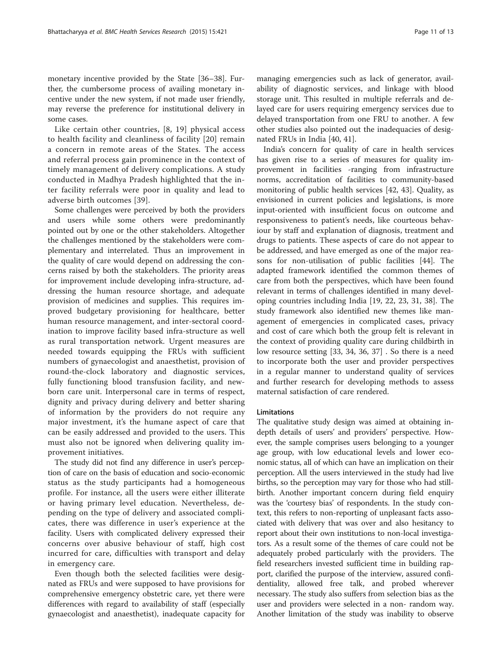Like certain other countries, [[8, 19\]](#page-11-0) physical access to health facility and cleanliness of facility [[20](#page-11-0)] remain a concern in remote areas of the States. The access and referral process gain prominence in the context of timely management of delivery complications. A study conducted in Madhya Pradesh highlighted that the inter facility referrals were poor in quality and lead to adverse birth outcomes [\[39\]](#page-12-0).

Some challenges were perceived by both the providers and users while some others were predominantly pointed out by one or the other stakeholders. Altogether the challenges mentioned by the stakeholders were complementary and interrelated. Thus an improvement in the quality of care would depend on addressing the concerns raised by both the stakeholders. The priority areas for improvement include developing infra-structure, addressing the human resource shortage, and adequate provision of medicines and supplies. This requires improved budgetary provisioning for healthcare, better human resource management, and inter-sectoral coordination to improve facility based infra-structure as well as rural transportation network. Urgent measures are needed towards equipping the FRUs with sufficient numbers of gynaecologist and anaesthetist, provision of round-the-clock laboratory and diagnostic services, fully functioning blood transfusion facility, and newborn care unit. Interpersonal care in terms of respect, dignity and privacy during delivery and better sharing of information by the providers do not require any major investment, it's the humane aspect of care that can be easily addressed and provided to the users. This must also not be ignored when delivering quality improvement initiatives.

The study did not find any difference in user's perception of care on the basis of education and socio-economic status as the study participants had a homogeneous profile. For instance, all the users were either illiterate or having primary level education. Nevertheless, depending on the type of delivery and associated complicates, there was difference in user's experience at the facility. Users with complicated delivery expressed their concerns over abusive behaviour of staff, high cost incurred for care, difficulties with transport and delay in emergency care.

Even though both the selected facilities were designated as FRUs and were supposed to have provisions for comprehensive emergency obstetric care, yet there were differences with regard to availability of staff (especially gynaecologist and anaesthetist), inadequate capacity for managing emergencies such as lack of generator, availability of diagnostic services, and linkage with blood storage unit. This resulted in multiple referrals and delayed care for users requiring emergency services due to delayed transportation from one FRU to another. A few other studies also pointed out the inadequacies of designated FRUs in India [[40, 41\]](#page-12-0).

India's concern for quality of care in health services has given rise to a series of measures for quality improvement in facilities -ranging from infrastructure norms, accreditation of facilities to community-based monitoring of public health services [[42, 43\]](#page-12-0). Quality, as envisioned in current policies and legislations, is more input-oriented with insufficient focus on outcome and responsiveness to patient's needs, like courteous behaviour by staff and explanation of diagnosis, treatment and drugs to patients. These aspects of care do not appear to be addressed, and have emerged as one of the major reasons for non-utilisation of public facilities [\[44\]](#page-12-0). The adapted framework identified the common themes of care from both the perspectives, which have been found relevant in terms of challenges identified in many developing countries including India [[19, 22](#page-11-0), [23,](#page-11-0) [31](#page-12-0), [38\]](#page-12-0). The study framework also identified new themes like management of emergencies in complicated cases, privacy and cost of care which both the group felt is relevant in the context of providing quality care during childbirth in low resource setting [[33, 34](#page-12-0), [36, 37](#page-12-0)] . So there is a need to incorporate both the user and provider perspectives in a regular manner to understand quality of services and further research for developing methods to assess maternal satisfaction of care rendered.

#### Limitations

The qualitative study design was aimed at obtaining indepth details of users' and providers' perspective. However, the sample comprises users belonging to a younger age group, with low educational levels and lower economic status, all of which can have an implication on their perception. All the users interviewed in the study had live births, so the perception may vary for those who had stillbirth. Another important concern during field enquiry was the 'courtesy bias' of respondents. In the study context, this refers to non-reporting of unpleasant facts associated with delivery that was over and also hesitancy to report about their own institutions to non-local investigators. As a result some of the themes of care could not be adequately probed particularly with the providers. The field researchers invested sufficient time in building rapport, clarified the purpose of the interview, assured confidentiality, allowed free talk, and probed wherever necessary. The study also suffers from selection bias as the user and providers were selected in a non- random way. Another limitation of the study was inability to observe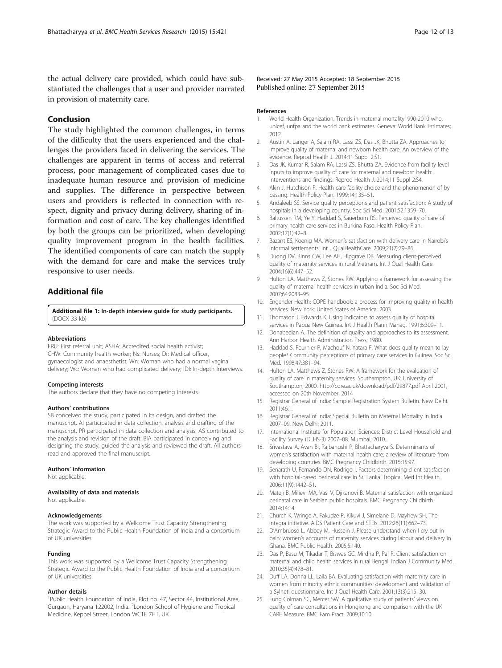<span id="page-11-0"></span>the actual delivery care provided, which could have substantiated the challenges that a user and provider narrated in provision of maternity care.

#### Conclusion

The study highlighted the common challenges, in terms of the difficulty that the users experienced and the challenges the providers faced in delivering the services. The challenges are apparent in terms of access and referral process, poor management of complicated cases due to inadequate human resource and provision of medicine and supplies. The difference in perspective between users and providers is reflected in connection with respect, dignity and privacy during delivery, sharing of information and cost of care. The key challenges identified by both the groups can be prioritized, when developing quality improvement program in the health facilities. The identified components of care can match the supply with the demand for care and make the services truly responsive to user needs.

#### Additional file

[Additional file 1:](http://www.biomedcentral.com/content/supplementary/s12913-015-1077-8-s1.docx) In-depth interview guide for study participants. (DOCX 33 kb)

#### Abbreviations

FRU: First referral unit; ASHA: Accredited social health activist; CHW: Community health worker; Ns: Nurses; Dr: Medical officer, gynaecologist and anaesthetist; Wn: Woman who had a normal vaginal delivery; Wc: Woman who had complicated delivery; IDI: In-depth Interviews.

#### Competing interests

The authors declare that they have no competing interests.

#### Authors' contributions

SB conceived the study, participated in its design, and drafted the manuscript. AI participated in data collection, analysis and drafting of the manuscript. PR participated in data collection and analysis. AS contributed to the analysis and revision of the draft. BIA participated in conceiving and designing the study, guided the analysis and reviewed the draft. All authors read and approved the final manuscript.

#### Authors' information

Not applicable.

#### Availability of data and materials

Not applicable.

#### Acknowledgements

The work was supported by a Wellcome Trust Capacity Strengthening Strategic Award to the Public Health Foundation of India and a consortium of UK universities.

#### Funding

This work was supported by a Wellcome Trust Capacity Strengthening Strategic Award to the Public Health Foundation of India and a consortium of UK universities.

#### Author details

<sup>1</sup>Public Health Foundation of India, Plot no. 47, Sector 44, Institutional Area, Gurgaon, Haryana 122002, India. <sup>2</sup>London School of Hygiene and Tropical Medicine, Keppel Street, London WC1E 7HT, UK.

Received: 27 May 2015 Accepted: 18 September 2015 Published online: 27 September 2015

#### References

- 1. World Health Organization. Trends in maternal mortality1990-2010 who, unicef, unfpa and the world bank estimates. Geneva: World Bank Estimates; 2012.
- 2. Austin A, Langer A, Salam RA, Lassi ZS, Das JK, Bhutta ZA. Approaches to improve quality of maternal and newborn health care: An overview of the evidence. Reprod Health J. 2014;11 Suppl 2:S1.
- 3. Das JK, Kumar R, Salam RA, Lassi ZS, Bhutta ZA. Evidence from facility level inputs to improve quality of care for maternal and newborn health: Interventions and findings. Reprod Health J. 2014;11 Suppl 2:S4.
- 4. Akin J, Hutchison P. Health care facility choice and the phenomenon of by passing. Health Policy Plan. 1999;14:135–51.
- 5. Andaleeb SS. Service quality perceptions and patient satisfaction: A study of hospitals in a developing country. Soc Sci Med. 2001;52:1359–70.
- 6. Baltussen RM, Ye Y, Haddad S, Sauerborn RS. Perceived quality of care of primary health care services in Burkina Faso. Health Policy Plan. 2002;17(1):42–8.
- 7. Bazant ES, Koenig MA. Women's satisfaction with delivery care in Nairobi's informal settlements. Int J QualHealthCare. 2009;21(2):79–86.
- 8. Duong DV, Binns CW, Lee AH, Hipgrave DB. Measuring client-perceived quality of maternity services in rural Vietnam. Int J Qual Health Care. 2004;16(6):447–52.
- 9. Hulton LA, Matthews Z, Stones RW. Applying a framework for assessing the quality of maternal health services in urban India. Soc Sci Med. 2007;64:2083–95.
- 10. Engender Health: COPE handbook: a process for improving quality in health services. New York: United States of America; 2003.
- 11. Thomason J, Edwards K. Using indicators to assess quality of hospital services in Papua New Guinea. Int J Health Plann Manag. 1991;6:309–11.
- 12. Donabedian A. The definition of quality and approaches to its assessment. Ann Harbor: Health Administration Press; 1980.
- 13. Haddad S, Fournier P, Machouf N, Yatara F. What does quality mean to lay people? Community perceptions of primary care services in Guinea. Soc Sci Med. 1998;47:381–94.
- 14. Hulton LA, Matthews Z, Stones RW: A framework for the evaluation of quality of care in maternity services. Southampton, UK: University of Southampton; 2000.<http://core.ac.uk/download/pdf/29877.pdf> April 2001, accessed on 20th November, 2014
- 15. Registrar General of India: Sample Registration System Bulletin. New Delhi. 2011;46:1.
- 16. Registrar General of India: Special Bulletin on Maternal Mortality in India 2007–09. New Delhi; 2011.
- 17. International Institute for Population Sciences: District Level Household and Facility Survey (DLHS-3) 2007–08. Mumbai; 2010.
- 18. Srivastava A, Avan BI, Rajbangshi P, Bhattacharyya S. Determinants of women's satisfaction with maternal health care: a review of literature from developing countries. BMC Pregnancy Childbirth. 2015;15:97.
- 19. Senarath U, Fernando DN, Rodrigo I. Factors determining client satisfaction with hospital-based perinatal care in Sri Lanka. Tropical Med Int Health. 2006;11(9):1442–51.
- 20. Mateji B, Milievi MA, Vasi V, Djikanovi B. Maternal satisfaction with organized perinatal care in Serbian public hospitals. BMC Pregnancy Childbirth. 2014;14:14.
- 21. Church K, Wringe A, Fakudze P, Kikuvi J, Simelane D, Mayhew SH. The integra initiative. AIDS Patient Care and STDs. 2012;26(11):662–73.
- 22. D'Ambruoso L, Abbey M, Hussein J. Please understand when I cry out in pain: women's accounts of maternity services during labour and delivery in Ghana. BMC Public Health. 2005;5:140.
- 23. Das P, Basu M, Tikadar T, Biswas GC, Mirdha P, Pal R. Client satisfaction on maternal and child health services in rural Bengal. Indian J Community Med. 2010;35(4):478–81.
- 24. Duff LA, Donna LL, Laila BA. Evaluating satisfaction with maternity care in women from minority ethnic communities: development and validation of a Sylheti questionnaire. Int J Qual Health Care. 2001;13(3):215–30.
- 25. Fung Colman SC, Mercer SW. A qualitative study of patients' views on quality of care consultations in Hongkong and comparison with the UK CARE Measure. BMC Fam Pract. 2009;10:10.